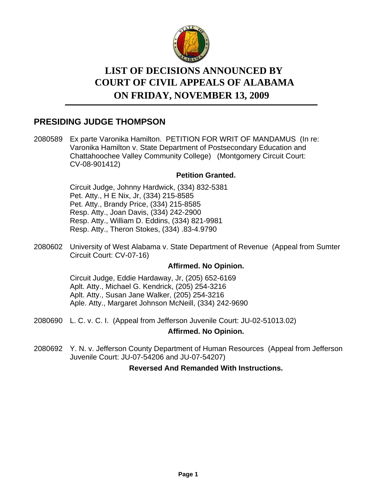

# **LIST OF DECISIONS ANNOUNCED BY ON FRIDAY, NOVEMBER 13, 2009 COURT OF CIVIL APPEALS OF ALABAMA**

# **PRESIDING JUDGE THOMPSON**

2080589 Ex parte Varonika Hamilton. PETITION FOR WRIT OF MANDAMUS (In re: Varonika Hamilton v. State Department of Postsecondary Education and Chattahoochee Valley Community College) (Montgomery Circuit Court: CV-08-901412)

### **Petition Granted.**

Circuit Judge, Johnny Hardwick, (334) 832-5381 Pet. Atty., H E Nix, Jr, (334) 215-8585 Pet. Atty., Brandy Price, (334) 215-8585 Resp. Atty., Joan Davis, (334) 242-2900 Resp. Atty., William D. Eddins, (334) 821-9981 Resp. Atty., Theron Stokes, (334) .83-4.9790

2080602 University of West Alabama v. State Department of Revenue (Appeal from Sumter Circuit Court: CV-07-16)

### **Affirmed. No Opinion.**

Circuit Judge, Eddie Hardaway, Jr, (205) 652-6169 Aplt. Atty., Michael G. Kendrick, (205) 254-3216 Aplt. Atty., Susan Jane Walker, (205) 254-3216 Aple. Atty., Margaret Johnson McNeill, (334) 242-9690

2080690 L. C. v. C. I. (Appeal from Jefferson Juvenile Court: JU-02-51013.02)

### **Affirmed. No Opinion.**

2080692 Y. N. v. Jefferson County Department of Human Resources (Appeal from Jefferson Juvenile Court: JU-07-54206 and JU-07-54207)

### **Reversed And Remanded With Instructions.**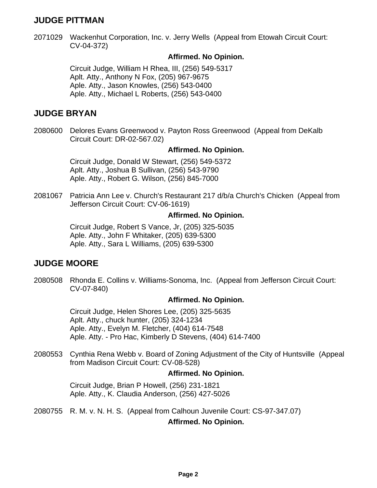# **JUDGE PITTMAN**

2071029 Wackenhut Corporation, Inc. v. Jerry Wells (Appeal from Etowah Circuit Court: CV-04-372)

### **Affirmed. No Opinion.**

Circuit Judge, William H Rhea, III, (256) 549-5317 Aplt. Atty., Anthony N Fox, (205) 967-9675 Aple. Atty., Jason Knowles, (256) 543-0400 Aple. Atty., Michael L Roberts, (256) 543-0400

### **JUDGE BRYAN**

2080600 Delores Evans Greenwood v. Payton Ross Greenwood (Appeal from DeKalb Circuit Court: DR-02-567.02)

### **Affirmed. No Opinion.**

Circuit Judge, Donald W Stewart, (256) 549-5372 Aplt. Atty., Joshua B Sullivan, (256) 543-9790 Aple. Atty., Robert G. Wilson, (256) 845-7000

Patricia Ann Lee v. Church's Restaurant 217 d/b/a Church's Chicken (Appeal from Jefferson Circuit Court: CV-06-1619) 2081067

### **Affirmed. No Opinion.**

Circuit Judge, Robert S Vance, Jr, (205) 325-5035 Aple. Atty., John F Whitaker, (205) 639-5300 Aple. Atty., Sara L Williams, (205) 639-5300

## **JUDGE MOORE**

2080508 Rhonda E. Collins v. Williams-Sonoma, Inc. (Appeal from Jefferson Circuit Court: CV-07-840)

### **Affirmed. No Opinion.**

Circuit Judge, Helen Shores Lee, (205) 325-5635 Aplt. Atty., chuck hunter, (205) 324-1234 Aple. Atty., Evelyn M. Fletcher, (404) 614-7548 Aple. Atty. - Pro Hac, Kimberly D Stevens, (404) 614-7400

2080553 Cynthia Rena Webb v. Board of Zoning Adjustment of the City of Huntsville (Appeal from Madison Circuit Court: CV-08-528)

### **Affirmed. No Opinion.**

Circuit Judge, Brian P Howell, (256) 231-1821 Aple. Atty., K. Claudia Anderson, (256) 427-5026

2080755 R. M. v. N. H. S. (Appeal from Calhoun Juvenile Court: CS-97-347.07)

### **Affirmed. No Opinion.**